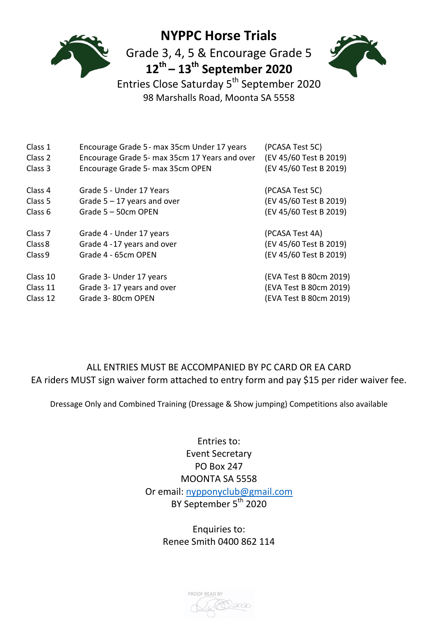

# **NYPPC Horse Trials**

Grade 3, 4, 5 & Encourage Grade 5 **12th – 13th September 2020**



Entries Close Saturday 5th September 2020 98 Marshalls Road, Moonta SA 5558

| Class 1            | Encourage Grade 5 - max 35cm Under 17 years   | (PCASA Test 5C)        |
|--------------------|-----------------------------------------------|------------------------|
| Class 2            | Encourage Grade 5- max 35cm 17 Years and over | (EV 45/60 Test B 2019) |
| Class 3            | Encourage Grade 5- max 35cm OPEN              | (EV 45/60 Test B 2019) |
| Class 4            | Grade 5 - Under 17 Years                      | (PCASA Test 5C)        |
| Class 5            | Grade $5 - 17$ years and over                 | (EV 45/60 Test B 2019) |
| Class 6            | Grade 5 - 50cm OPEN                           | (EV 45/60 Test B 2019) |
| Class <sub>7</sub> | Grade 4 - Under 17 years                      | (PCASA Test 4A)        |
| Class 8            | Grade 4 - 17 years and over                   | (EV 45/60 Test B 2019) |
| Class <sub>9</sub> | Grade 4 - 65cm OPEN                           | (EV 45/60 Test B 2019) |
| Class 10           | Grade 3- Under 17 years                       | (EVA Test B 80cm 2019) |
| Class 11           | Grade 3-17 years and over                     | (EVA Test B 80cm 2019) |
| Class 12           | Grade 3-80cm OPEN                             | (EVA Test B 80cm 2019) |

## ALL ENTRIES MUST BE ACCOMPANIED BY PC CARD OR EA CARD EA riders MUST sign waiver form attached to entry form and pay \$15 per rider waiver fee.

Dressage Only and Combined Training (Dressage & Show jumping) Competitions also available

Entries to: Event Secretary PO Box 247 MOONTA SA 5558 Or email: [nypponyclub@gmail.com](mailto:nypponyclub@gmail.com) BY September 5<sup>th</sup> 2020

> Enquiries to: Renee Smith 0400 862 114

PROOF READ BY PA)2030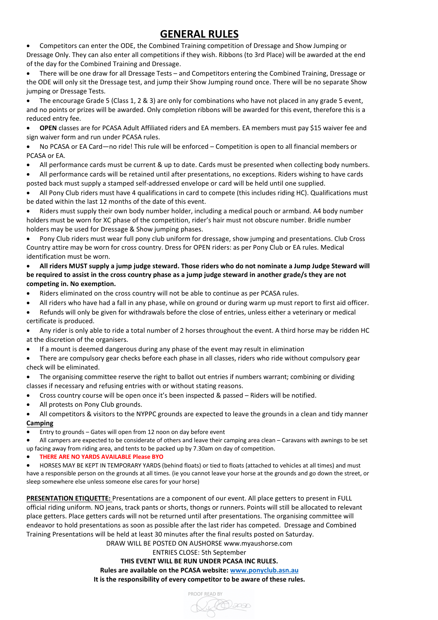# **GENERAL RULES**

• Competitors can enter the ODE, the Combined Training competition of Dressage and Show Jumping or Dressage Only. They can also enter all competitions if they wish. Ribbons (to 3rd Place) will be awarded at the end of the day for the Combined Training and Dressage.

• There will be one draw for all Dressage Tests – and Competitors entering the Combined Training, Dressage or the ODE will only sit the Dressage test, and jump their Show Jumping round once. There will be no separate Show jumping or Dressage Tests.

• The encourage Grade 5 (Class 1, 2 & 3) are only for combinations who have not placed in any grade 5 event, and no points or prizes will be awarded. Only completion ribbons will be awarded for this event, therefore this is a reduced entry fee.

• **OPEN** classes are for PCASA Adult Affiliated riders and EA members. EA members must pay \$15 waiver fee and sign waiver form and run under PCASA rules.

• No PCASA or EA Card—no ride! This rule will be enforced – Competition is open to all financial members or PCASA or EA.

• All performance cards must be current & up to date. Cards must be presented when collecting body numbers.

• All performance cards will be retained until after presentations, no exceptions. Riders wishing to have cards posted back must supply a stamped self-addressed envelope or card will be held until one supplied.

• All Pony Club riders must have 4 qualifications in card to compete (this includes riding HC). Qualifications must be dated within the last 12 months of the date of this event.

• Riders must supply their own body number holder, including a medical pouch or armband. A4 body number holders must be worn for XC phase of the competition, rider's hair must not obscure number. Bridle number holders may be used for Dressage & Show jumping phases.

• Pony Club riders must wear full pony club uniform for dressage, show jumping and presentations. Club Cross Country attire may be worn for cross country. Dress for OPEN riders: as per Pony Club or EA rules. Medical identification must be worn.

- **All riders MUST supply a jump judge steward. Those riders who do not nominate a Jump Judge Steward will be required to assist in the cross country phase as a jump judge steward in another grade/s they are not competing in. No exemption.**
- Riders eliminated on the cross country will not be able to continue as per PCASA rules.
- All riders who have had a fall in any phase, while on ground or during warm up must report to first aid officer.
- Refunds will only be given for withdrawals before the close of entries, unless either a veterinary or medical certificate is produced.

• Any rider is only able to ride a total number of 2 horses throughout the event. A third horse may be ridden HC at the discretion of the organisers.

• If a mount is deemed dangerous during any phase of the event may result in elimination

• There are compulsory gear checks before each phase in all classes, riders who ride without compulsory gear check will be eliminated.

The organising committee reserve the right to ballot out entries if numbers warrant; combining or dividing classes if necessary and refusing entries with or without stating reasons.

- Cross country course will be open once it's been inspected & passed Riders will be notified.
- All protests on Pony Club grounds.
- All competitors & visitors to the NYPPC grounds are expected to leave the grounds in a clean and tidy manner

#### **Camping**

• Entry to grounds – Gates will open from 12 noon on day before event

• All campers are expected to be considerate of others and leave their camping area clean – Caravans with awnings to be set up facing away from riding area, and tents to be packed up by 7.30am on day of competition.

• **THERE ARE NO YARDS AVAILABLE Please BYO**

• HORSES MAY BE KEPT IN TEMPORARY YARDS (behind floats) or tied to floats (attached to vehicles at all times) and must have a responsible person on the grounds at all times. (ie you cannot leave your horse at the grounds and go down the street, or sleep somewhere else unless someone else cares for your horse)

**PRESENTATION ETIQUETTE:** Presentations are a component of our event. All place getters to present in FULL official riding uniform. NO jeans, track pants or shorts, thongs or runners. Points will still be allocated to relevant place getters. Place getters cards will not be returned until after presentations. The organising committee will endeavor to hold presentations as soon as possible after the last rider has competed. Dressage and Combined Training Presentations will be held at least 30 minutes after the final results posted on Saturday.

DRAW WILL BE POSTED ON AUSHORSE www.myaushorse.com

#### ENTRIES CLOSE: 5th September

**THIS EVENT WILL BE RUN UNDER PCASA INC RULES. Rules are available on the PCASA website: [www.ponyclub.asn.au](http://www.ponyclub.asn.au/) It is the responsibility of every competitor to be aware of these rules.**

Nelles